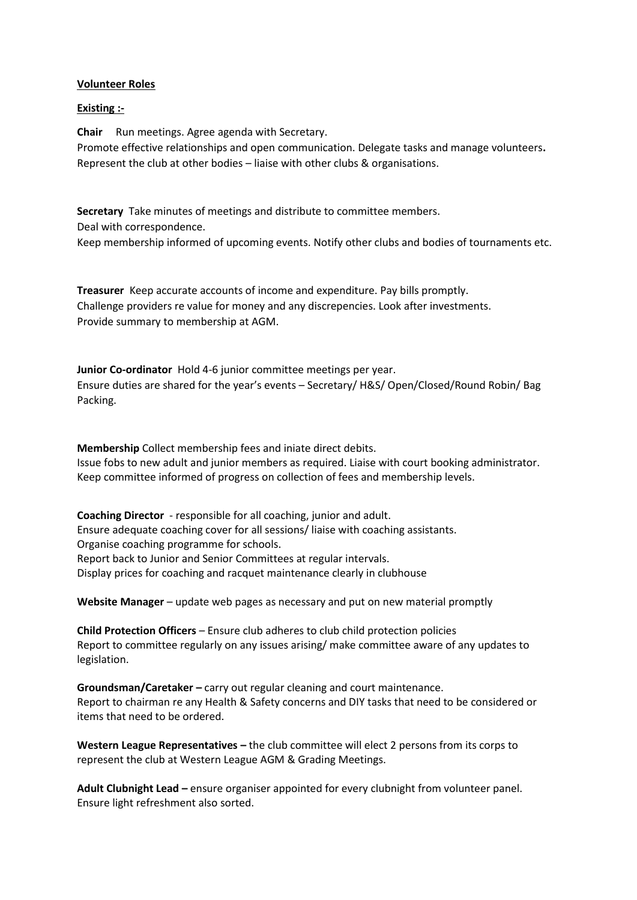## **Volunteer Roles**

## **Existing :-**

**Chair** Run meetings. Agree agenda with Secretary.

Promote effective relationships and open communication. Delegate tasks and manage volunteers**.** Represent the club at other bodies – liaise with other clubs & organisations.

**Secretary** Take minutes of meetings and distribute to committee members.

Deal with correspondence.

Keep membership informed of upcoming events. Notify other clubs and bodies of tournaments etc.

**Treasurer** Keep accurate accounts of income and expenditure. Pay bills promptly. Challenge providers re value for money and any discrepencies. Look after investments. Provide summary to membership at AGM.

**Junior Co-ordinator** Hold 4-6 junior committee meetings per year. Ensure duties are shared for the year's events – Secretary/ H&S/ Open/Closed/Round Robin/ Bag Packing.

**Membership** Collect membership fees and iniate direct debits. Issue fobs to new adult and junior members as required. Liaise with court booking administrator. Keep committee informed of progress on collection of fees and membership levels.

**Coaching Director** - responsible for all coaching, junior and adult. Ensure adequate coaching cover for all sessions/ liaise with coaching assistants. Organise coaching programme for schools. Report back to Junior and Senior Committees at regular intervals. Display prices for coaching and racquet maintenance clearly in clubhouse

**Website Manager** – update web pages as necessary and put on new material promptly

**Child Protection Officers** – Ensure club adheres to club child protection policies Report to committee regularly on any issues arising/ make committee aware of any updates to legislation.

**Groundsman/Caretaker –** carry out regular cleaning and court maintenance. Report to chairman re any Health & Safety concerns and DIY tasks that need to be considered or items that need to be ordered.

**Western League Representatives –** the club committee will elect 2 persons from its corps to represent the club at Western League AGM & Grading Meetings.

**Adult Clubnight Lead –** ensure organiser appointed for every clubnight from volunteer panel. Ensure light refreshment also sorted.